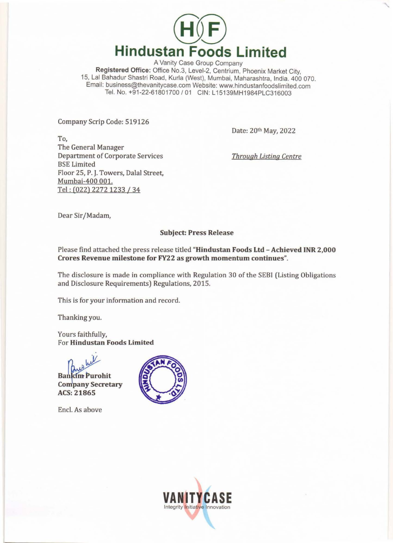

A Vanity Case Group Company Registered Office: Office No.3, Level-2, Centrium, Phoenix Market City, 15, Lal Bahadur Shastri Road, Kurla (West), Mumbai, Maharashtra, India. 400 070. Email: business@thevanitycase.com Website: www.hindustanfoodslimited.com Tel. No. +91-22-61801700 / 01 CIN: L15139MH1984PLC316003

Company Scrip Code: 519126

Date: 20th May, 2022

To, The General Manager Department of Corporate Services BSE Limited Floor 25, P. J. Towers, Dalal Street, Mumbai-400 001. Tel : (022) 2272 1233 /34

*Through Listing Centre* 

Dear Sir/Madam,

# Subject: Press Release

Please find attached the press release titled "Hindustan Foods Ltd- Achieved INR 2,000 Crores Revenue milestone for FY22 as growth momentum continues".

The disclosure is made in compliance with Regulation 30 of the SEBI (Listing Obligations and Disclosure Requirements) Regulations, 2015.

This is for your information and record.

Thanking you.

Yours faithfully, For Hindustan Foods Limited

web

Bankim Purohit<br>Company Secretary ACS: 21865

Encl. As above



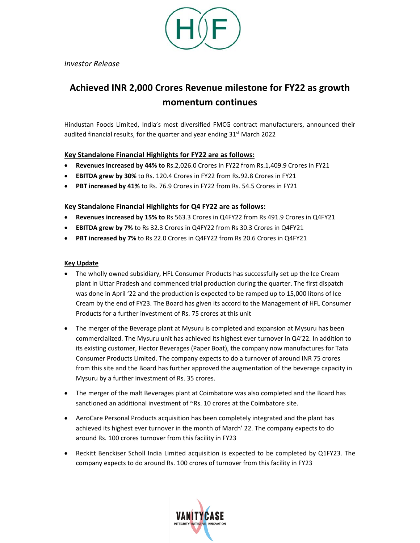

*Investor Release* 

# **Achieved INR 2,000 Crores Revenue milestone for FY22 as growth momentum continues**

Hindustan Foods Limited, India's most diversified FMCG contract manufacturers, announced their audited financial results, for the quarter and year ending  $31<sup>st</sup>$  March 2022

# **Key Standalone Financial Highlights for FY22 are as follows:**

- **Revenues increased by 44% to** Rs.2,026.0 Crores in FY22 from Rs.1,409.9 Crores in FY21
- **EBITDA grew by 30%** to Rs. 120.4 Crores in FY22 from Rs.92.8 Crores in FY21
- **PBT increased by 41%** to Rs. 76.9 Crores in FY22 from Rs. 54.5 Crores in FY21

# **Key Standalone Financial Highlights for Q4 FY22 are as follows:**

- **Revenues increased by 15% to** Rs 563.3 Crores in Q4FY22 from Rs 491.9 Crores in Q4FY21
- **EBITDA grew by 7%** to Rs 32.3 Crores in Q4FY22 from Rs 30.3 Crores in Q4FY21
- **PBT increased by 7%** to Rs 22.0 Crores in Q4FY22 from Rs 20.6 Crores in Q4FY21

## **Key Update**

- The wholly owned subsidiary, HFL Consumer Products has successfully set up the Ice Cream plant in Uttar Pradesh and commenced trial production during the quarter. The first dispatch was done in April '22 and the production is expected to be ramped up to 15,000 litons of Ice Cream by the end of FY23. The Board has given its accord to the Management of HFL Consumer Products for a further investment of Rs. 75 crores at this unit
- The merger of the Beverage plant at Mysuru is completed and expansion at Mysuru has been commercialized. The Mysuru unit has achieved its highest ever turnover in Q4'22. In addition to its existing customer, Hector Beverages (Paper Boat), the company now manufactures for Tata Consumer Products Limited. The company expects to do a turnover of around INR 75 crores from this site and the Board has further approved the augmentation of the beverage capacity in Mysuru by a further investment of Rs. 35 crores.
- The merger of the malt Beverages plant at Coimbatore was also completed and the Board has sanctioned an additional investment of ~Rs. 10 crores at the Coimbatore site.
- AeroCare Personal Products acquisition has been completely integrated and the plant has achieved its highest ever turnover in the month of March' 22. The company expects to do around Rs. 100 crores turnover from this facility in FY23
- Reckitt Benckiser Scholl India Limited acquisition is expected to be completed by Q1FY23. The company expects to do around Rs. 100 crores of turnover from this facility in FY23

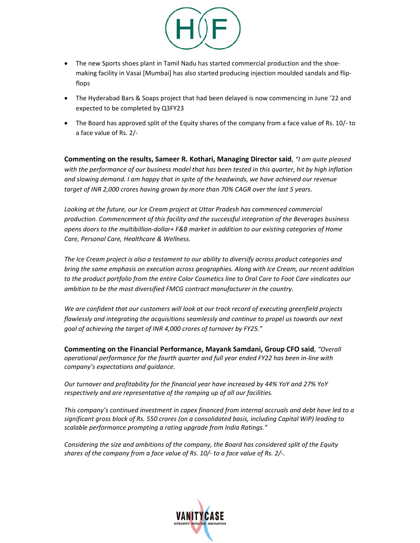

- The new Sports shoes plant in Tamil Nadu has started commercial production and the shoemaking facility in Vasai [Mumbai] has also started producing injection moulded sandals and flip‐ flops
- The Hyderabad Bars & Soaps project that had been delayed is now commencing in June '22 and expected to be completed by Q3FY23
- The Board has approved split of the Equity shares of the company from a face value of Rs. 10/- to a face value of Rs. 2/‐

**Commenting on the results, Sameer R. Kothari, Managing Director said**, *"I am quite pleased with the performance of our business model that has been tested in this quarter, hit by high inflation and slowing demand. I am happy that in spite of the headwinds, we have achieved our revenue target of INR 2,000 crores having grown by more than 70% CAGR over the last 5 years.* 

Looking at the future, our Ice Cream project at Uttar Pradesh has commenced commercial *production. Commencement of this facility and the successful integration of the Beverages business opens doors to the multibillion‐dollar+ F&B market in addition to our existing categories of Home Care, Personal Care, Healthcare & Wellness.* 

*The Ice Cream project is also a testament to our ability to diversify across product categories and bring the same emphasis on execution across geographies. Along with Ice Cream, our recent addition to the product portfolio from the entire Color Cosmetics line to Oral Care to Foot Care vindicates our ambition to be the most diversified FMCG contract manufacturer in the country.* 

*We are confident that our customers will look at our track record of executing greenfield projects flawlessly and integrating the acquisitions seamlessly and continue to propel us towards our next goal of achieving the target of INR 4,000 crores of turnover by FY25."* 

**Commenting on the Financial Performance, Mayank Samdani, Group CFO said**, *"Overall operational performance for the fourth quarter and full year ended FY22 has been in‐line with company's expectations and guidance.* 

*Our turnover and profitability for the financial year have increased by 44% YoY and 27% YoY respectively and are representative of the ramping up of all our facilities.* 

*This company's continued investment in capex financed from internal accruals and debt have led to a significant gross block of Rs. 550 crores (on a consolidated basis, including Capital WiP) leading to scalable performance prompting a rating upgrade from India Ratings."* 

*Considering the size and ambitions of the company, the Board has considered split of the Equity shares of the company from a face value of Rs. 10/‐ to a face value of Rs. 2/‐.*